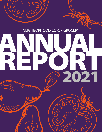

# REPORT ANNUAL 2021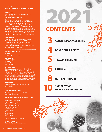#### Published by:

#### **NEIGHBORHOOD CO-OP GROCERY**

#### **OUR STORE**

1815 W Main Street, Carbondale IL 62901 Open Daily 8 am - 9 pm **www.neighborhood.coop**

The Neighborhood Co-op is a cooperative grocery store owned by members of our very own community. Most of our staff are even owners! We are a founding member of the National Co+op Grocers, a network of more than 200 cooperative grocery stores all across America. We combine our buying power to bring you the best food at the best value while staying locally governed. We work hard to support our community, and improve our local food system.

#### **OUR MISSION**

Neighborhood Co-op Grocery aims to serve the needs of its owners and patrons by providing wholesome foods, economically, in the cooperative tradition and in ways that best promote the health of the individual, the community, and the earth.

**DIRECTOR OF DESIGN**

Amy Dion amy@neighborhood.coop

**CONTENT BY**

Francis Murphy Amy Dion Richard Thomas Erika Peterson

#### **ECO PRINTING**

This magazine was printed by ModernLitho. They are certified to the Sustainable Forestry Initiative® (SFI®) and by the Forestry Stewardship Council® (FSC®) for their efforts in utilizing papers originating from a sustainable, ecological source and for maintaining rigorous processes, procedures and training to ensure their standards of excellence and environmental responsibility.

**QUESTIONS**

Email info@neighborhood.coop or call 618.529.3533

#### **2022 BOARD MEETINGS**

*Meetings happen once a month at 6pm All owners are welcome!*

**See neighborhood.coop for meeting dates**

#### **BOARD OF DIRECTORS**

Richard Thomas, Chair Barbara James, Vice Chair Erika Peterson, Treasurer Margaret Anderson Kristy Bender Lauren Bonner Quianya Enge Ron Mahoney Jak Tichenor

Karen Schauwecker - Secretary

*Contact the Board at: Boardlink@neighborhood.coop*

**CONTENTS** 2021

**3**

**4**

**5**

**6**

**8**

**10**



**FINANCIAL**

|  | <b>OUTREACH</b> |
|--|-----------------|
|  |                 |

**2022 ELECTION: MEET YOUR CANDIDATES**

**REPORT** 

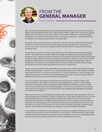

# FROM THE **GENERAL MANAGER**

*FRANCIS MURPHY*

2021 was another crazy pandemic year that illustrated perfectly that no one knows what is going to happen next. We experienced the start of decades-high inflation, supply chain interruptions, general fraying of the social fabric, and no end in sight to the pandemic. Despite the volatility, ambiguity, complexity, and uncertainty of these times, the Co-op had a very good year - especially financially as detailed in the Treasurer's Report found in this publication.

Among the many positive outcomes of the past year was the continued support of the community for the Co-op. In 2021 we had 207 new owner signups and 30 resignations for a net gain of 177 owners. The number of new owner signups had been trending down in recent years, but we had an uptick in 2021.

The financial success of the Co-op in 2020 meant that we were able to issue patronage dividends in 2021 – for the first time since 2005. Board and management began serious study of patronage dividends in 2017, largely by utilizing the expertise of the board consultant who made a presentation at a board meeting and led discussion at the board's annual retreat. However, until 2020, net income had been so small that the size of individual dividends did not justify the administrative effort of issuing them. This calculation changed for 2020 as net income before taxes was sufficiently large that the Board declared a patronage dividend for that year in August 2021.

Based on the portion of the profit attributable to owner purchases, the Board declared a patronage dividend totaling \$58,831, with 20% or \$11,766 being distributed as store credit and 80% or \$47,065 being retained by the Co-op. They also decided on a \$2 minimum distribution, which included 1,257 owners in the payout. As a result of issuing patronage dividends, the Co-op saved nearly \$18,000 in federal and state income taxes and improved its cash position.

The most successful new program in the last few years has been the Link Match program. We have received grants each year since 2018 from Experimental Station, an Illinois not for profit, to implement this program. In 2021, we redeemed nearly \$20,000 in Link Match currency, a \$5,000 increase from previous years. The Link Match program is one of many ways that the Co-op actively seeks to be more inclusive of our community and to make shopping more affordable for people of all economic circumstances.

While many of the Co-op's usual outreach activities were curtailed due to the pandemic, in 2021 we partnered again with Food Works to create a successful Farm Crawl. We managed to host an in-person event where patrons took a self-guided tour to eight Southern Illinois farms. Activities included viewing bison, interacting with alpacas, feeding ducks and chickens, sampling fresh cider, watching the process of crushing grapes and making wine, learning about the benefits of hemp, and hearing about the ups and downs of owning a farm. Some farmers estimated 200 people visited their farm. Between sponsorships and ticket sales, we managed to raise over \$2,600 for Food Works.

In short, despite the challenges of operating a grocery store during a pandemic, Neighborhood Co-op continues to be a thriving consumer owned food co-op. We remain a profitable business while making progress towards achieving goals around community, sustainability, and access to meaningful products and services. Thank you for being part of the Co-op and contributing to its success.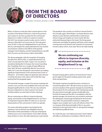

# **FROM THE BOARD OF DIRECTORS**

*RICHARD THOMAS, BOARD CHAIR*

When I sit down to write the chair's annual report on the activities of the Board of Directors, I look at the previous year's report to see how our plans for the coming year played out in reality. It will be no surprise to anyone that 2021 has not gone exactly to plan, and as I write in January it feels like it isn't even over yet. The truly good news of 2021 is that your Neighborhood Co-op Grocery did very well despite the unprecedented and very stressful circumstances, thanks to the efforts of the general manager, Francis Murphy, and the hardworking Co-op staff. And, of course, you the owners make it all possible.

The above paragraph, with the exception of changing the date from 2020 to 2021, is copied directly from my chair's annual report for 2020. I expect I am not alone in sometimes feeling like I'm living in the movie *Groundhog Day*. Thankfully, there are a couple of huge differences from 2020. We have wonderfully effective vaccines for SARS-CoV-2 and new therapeutic interventions are making significant improvements in the outcomes from Covid-19 infections – all of which makes me optimistic that whoever is writing next years' chair report will not feel like copypasting that first paragraph again.

The board did manage a couple of in-person meetings last summer, once vaccines were available and Covid case rates dropped significantly for a time. This was very welcome because it allowed us to meet in person new board members before we went back to Zoom meetings.

We are continuing our efforts to improve diversity, equity, and inclusion at the Neighborhood Co-op. This is an important long-term effort to make our Co-op more representative of the community in which we operate.

Our owner education program was limited by the pandemic, but we did have one delightful and very informative online presentation on the joys of backyard chickens by our own Lauren Bonner. If you didn't already keep chickens in town, this talk inspired you to get started. The pandemic also caused us to hold our Annual Owner's Fest virtually, again. Nevertheless, our board election went ahead as usual. We bid a sad farewell to Leslie Duram, whose energy and insights are much missed. We also welcomed Quianya Enge to the board. She brings great enthusiasm and ability for getting stuff done, and is already a strong asset to the board in her outreach to Community Connect, about which, more, later. We are all really looking

> **We are continuing our efforts to improve diversity, equity, and inclusion at the Neighborhood Co-op.**

> > "

// -------------------

forward to being able to hold our Annual Owner's Fest in person again for the good company, good music, good food, and good beer.

The board's required oversight functions carried on as normal throughout 2021. We did revamp our policy on the annual evaluation of the general manager by streamlining the procedure for the evaluation while maintaining exactly the same level of oversight, saving considerable time for both the board and the GM. In consultation with the general manager, the board was very excited to authorize the distribution of patronage dividends for the first time since 2005. The practicalities involved in making this happen were complex, but it came off without a hitch. This is a measure of the financial health of the Co-op, and a testament to the hard work of the Co-op's general manager and staff during difficult times.

As I wrote last year, I am hoping next year's Chair's Report will reflect a climb back to normality in 2022 for all of us.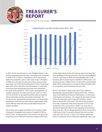

# **TREASURER'S REPORT**

*ERIKA PETERSON, TREASURER*



In 2021, for the second year in a row, Neighborhood Co-op Grocery experienced record sales, increasing 2.6% compared to 2020 to \$5.17 million. Compared to 2019, the last year before the pandemic, sales in 2021 were nearly 12% higher. As difficult as the last two years have been, grocery stores have been one of the few beneficiaries of Covid-19, growing sales while other industries have floundered. In particular, consumers have favored grocery stores over restaurants for much of the pandemic. The Co-op's recent growth is in marked contrast to the years just prior to Covid-19. From 2014 to 2019 the Co-op experienced flat sales as Southern Illinois University and the community contracted. The Co-op has also operated for several years in an increasingly competitive environment with national supermarket chain stores offering more and more private label natural and organic products.

Net income was roughly \$241,000 or 4.7% of sales in 2021 compared to budgeted net income of roughly \$47,000 or 0.9% of sales. A large portion of net income was due to the forgiveness of our Paycheck Protection Program (PPP) loan. As the graph above shows, the last two years have been the most profitable of the last ten and in fact the most profitable in the Co-op's history. With record profitability, the Co-op has been able to award nearly \$160,000 in staff bonuses over the last two years. Before Covid-19 net income had generally fallen off for several years as a result of reduced margins due to competition and increased personnel costs.

The Co-op's balance sheet at the end of 2021 reflects a dramatically improved Debt-to-Equity (D/E) ratio. The D/E ratio, Total Liabilities divided by Total Equity, is a commonly used measure of solvency. One reason for this improvement is that we used extra cash to pay off \$155,000 in owner loans or about 40% of the total. The owner loan program was a key component of the financing plan in the Co-op's relocation to the current store in 2006. Last June, the Coop's board approved a plan to start repaying owner loans as they come due. We are deeply grateful to those owners who made loans to the Co-op and renewed their loans as they came due over the past 15 years; this "patient capital" has been an important source of financial stability for the Co-op.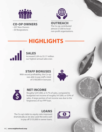

CO-OP OWNERS

• 207 New Owners

• 30 Resignations



**OUTREACH** The Co-op contributed almost \$7,500 to local non-profit organizations.

# **HIGHLIGHTS**



## SALES

Increased 2.6% to \$5.17 million our highest annual sales ever.

## STAFF BONUSES

With record profitability, the Co-op was able to pay staff a total of \$100,000 in bonuses





## NET INCOME

Roughly \$241,000, or 4.7% of sales, compared to budgeted net income of roughly \$47,000, or 0.9% of sales. A large portion of net income was due to the forgiveness of our PPP loan.

# LOANS

The Co-op's debt-to-equity ratio improved dramatically as we also used the extra cash to pay off \$155,000 in owner loans.

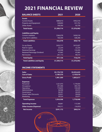# **2021 FINANCIAL REVIEW**

| <b>BALANCE SHEETS</b>               | 2021        | 2020        |  |
|-------------------------------------|-------------|-------------|--|
| <b>Assets</b>                       |             |             |  |
| <b>Current Assets</b>               | \$880,610   | \$952,510   |  |
| <b>Property and Equipment</b>       | 528,804     | 531,752     |  |
| <b>Other Assets</b>                 | 100,300     | 92,730      |  |
| <b>Total Assets</b>                 | \$1,509,714 | \$1,576,992 |  |
| <b>Liabilities and Equity</b>       |             |             |  |
| <b>Current Liabilities</b>          | \$366,078   | \$430,518   |  |
| Long-Term Liabilities               | 166,500     | 428,200     |  |
| <b>Total Liabilities</b>            | 532,578     | 858,718     |  |
| Co-op Shares                        | \$432,717   | \$415,027   |  |
| Paid-In Capital                     | 22,234      | 22,234      |  |
| <b>Retained Earnings</b>            | 233,948     | 134,434     |  |
| <b>Retained Patronage Dividend</b>  | 47,065      | 47,065      |  |
| Net Income                          | 241,172     | 99,514      |  |
| <b>Total Equity</b>                 | 977,136     | 718,274     |  |
| <b>Total Liabilities and Equity</b> | \$1,509,714 | \$1,576,992 |  |

## **INCOME STATEMENTS**

| <b>Sales</b>                  | \$5,170,739 | \$5,052,635 |
|-------------------------------|-------------|-------------|
| <b>Cost of Sales</b>          | 3,189,370   | 3,159,018   |
| <b>Gross Profit</b>           | 1,981,369   | 1,893,617   |
| <b>Expenses</b>               |             |             |
| Personnel                     | 1,321,973   | 1,179,934   |
| Occupancy                     | 291,406     | 305,734     |
| Operating                     | 174,835     | 159,529     |
| Administrative                | 36,948      | 43,015      |
| Governance                    | 36,391      | 24,525      |
| <b>Owner Sales Discounts</b>  | 33,631      | 29,634      |
| Marketing                     | 39,324      | 35,677      |
| <b>Total Expenses</b>         | 1,934,508   | 1,778,048   |
| <b>Operating Income</b>       | 46,861      | 115,569     |
| <b>Other Income (Expense)</b> | 194,311     | (16,055)    |
| <b>Net Income</b>             | \$241,172   | \$99,514    |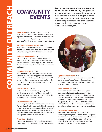# **COMMUNITY EVENTS**

**As a cooperative, we structure much of what we do around our community.** This grassroots approach guides us to work with local groups to make a collective impact in our region. We have supported many local organizations by working in partnership to help educate, bring awareness to, and raise funds for important causes throughout the past years.

**Blood Drive** – Jan. 21, April 1, Sept. 16, Nov. 18 As in past years, Neighborhood Co-op continues to be a great spot to host blood drives. We helped Red Cross fill all of their time slots, despite operating during a pandemic. We will continue to support this great cause!

#### **SIU Ceramic Plant and Pot Sale** – May 1

Held in front of the Co-op, SIU Ceramic students made pots that were sold as a fundraiser. Proceeds from the sale went to support student activities and research.

#### **Collection for Backpacks** – Oct. 1-30

Throughout October, we supported Backpacks for Success, a local program that supplies children whose families can't afford school supplies, with backpacks. We served as a backpack drop-off location during the entire month.

#### **Glass Pumpkin Sale** – Oct. 18

SIU glass program had their in-person annual Glass Pumpkin Sale. The remaining pumpkins that didn't sell were brought to the Co-op. Pumpkins were sold in-store until they were all gone. Proceeds from sales went to the SIU Glass Program to support students' creative activities!

#### **Safe Halloween** – Oct. 30

Trick-or-treaters were able to enjoy a day of fun activities and candy this year! The Co-op handed out candy in front of the store as families walked the shopping center for Safe Halloween.

#### **Great Pumpkin Race** - Oct. 30

The Co-op participated in the Carbondale Annual Great Pumpkin Race. This is a great family-friendly community event in which we were a sponsor and a participant. We again raced a large pumpkin that won the Grand Prix race winning \$250! The Co-op donated the winnings to the Boys and Girls Club of Southern Illinois.

#### **Angel Tree** – Nov. 1-30

Throughout November, the Co-op hosted an angel tree in support of The Women's Center in Carbondale.



#### **Lights Fantastic Parade** - Dec. 4

The Co-op once again participated in the Carbondale Lights Fantastic Parade. We used the same float decorations as previous years. We have several staff, kids, and friends ride the float.

#### **Santa at the Co-op** – Dec 18.

We were able to host Santa at the Co-op again! Vern Crawford offered to be Santa even with the continual Covid concerns. His presents brought great holiday spirit and gave many family and friends a free opportunity to take photos with Santa. We supplied candy bars, cookies, and coloring sheets for our little visitors. Musician Ed Van Awken played holiday songs on his keyboard during the two hours we hosted Santa.

#### **Carbondale Coloring Book**

The Co-op helped the City of Carbondale sell a fundraising coloring book, which featured 22 pages of hand-drawn images of iconic buildings and landmarks throughout the City of Carbondale. 100% of the proceeds went to assist the Carbondale Parks and Recreation Fund supporting our city parks.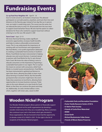# **Fundraising Events**

#### **Co-op Feed Your Neighbor 5K** – April 9 - 16

Due to Covid concerns, we hosted a virtual race. This allowed participants to run/walk anytime, anywhere, and track their time and distance on the RaceJoy app. Instead of one day like our in-person race, we made it a week-long event. The course was the same, but we reduced the entry to only \$10. All proceeds from the race went to support Good Samaritan House. We also had the option to collect donations for those who wanted to support Good Sam without entering to run the race. We raised \$1,100!

#### **Farm Crawl** - Sept. 12-13

We know that local farming creates significant economic opportunities, increases health benefits, and helps to reduce unfavorable environmental issues. The Co-op understands the importance of working with our local farmers and organizations like Food Works, a non-profit organization dedicated to creating a sustainable food economy in Southern Illinois. Food Works has been instrumental in helping educate new and current farmers. It seemed natural to partner with Food Works for the Co-op's Annual Farm Crawl. We know the value of being a voice to educate consumers on the importance of growing a sustainable food system in our region. The Co-op has the means to connect with consumers, while Food Works is a trusted source among farmers. Food Works has been instrumental in getting local farmers to open their doors, allowing the public to learn more about farming in Southern Illinois. But the benefits go beyond what consumers might learn; the event helps draw awareness to local farms, allowing them opportunities to increase business revenues. Ticket sales to the event allowed us to raise funds for Food Works so that they can continue the great work they do. Additionally, we sold a limited edition t-shirt, which, together with ticket sales, raised \$3,900!



# **Wooden Nickel Program • Carbondale Parks and Recreation Foundation**

Our Wooden Nickels program allows patrons to financially support local and regional not-for-profit organizations by donating a wooden nickel every time they use a reusable bag. Many customers also continue to put cash in the boxes which gets donated to those organizations. We are honored to have had the opportunity to donate a total of \$2,108.85 in 2021. To the right is the list of recipients of the Wooden Nickel program.

- 
- **Foster Family Resource Center of SO IL**
- **IL Native Plant Society**
- **Friends of Cache River Watershed**
- **WDBX**
- **Green Earth**
- **Richard Buckminster Fuller Dome**
- **Friends of Illinois Nature Preserves**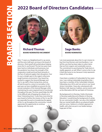

### **Richard Thomas BOARD NOMINATED INCUMBENT**

After 17 years as a Neighborhood Co-op owner, and five and a half years serving on the board of directors, I find myself still excited about helping move the Co-op forward. The last two years have been hard on individuals and businesses, but the pandemic has shown the strength of the cooperative model and local food networks in the face of national supply chain disruptions. Your Co-op is a bright spot in the region's otherwise tough business environment. Your board has worked to support the General Manager and the Co-op staff in these trying times, and we all look forward to a return to normality. In the past year we have simplified our process for the annual evaluation of the General Manager while maintaining the same required level of monitoring throughout the year. The time saved helps the GM in the difficult task of keeping the wheels on in these "interesting times". It also frees more time for your board to further the mission of the Co-op. We are especially focused on broadening the appeal of the Co-op throughout the community. I would appreciate the opportunity to continue helping with this work.



**Sage Banks BOARD NOMINATED**

I am most passionate about the Co-op's mission to buy from local farmers and merchandisers. I can tell the care that has been taken to select items that are from organic and sustainable sources. The commitment to purchasing Fair Trade items is readily apparent, as well. When I come to the Co-op, it feels like home to me, because it truly represents many of my values.

I have been a resident of Carbondale for four years now. I was visiting Carbondale long before that. I have been a member of the Carbondale Unitarian Fellowship since 2016, and I am active in our Social Action Committee. I have also volunteered with Rainbow Café, Sparrow Coalition, and at events such as the Alternative Gift Fair and Spirit of Christmas.

My background is in Nursing. I hold a Doctorate in Nursing Leadership and a Masters in Nursing Education. I would bring the background of caring for our community's health. I am also a firm believer that our mental health affects our physical health, and vice versa. I believe in a holistic approach to health, with what we put in our bodies being a huge part of that.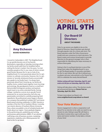

**BOARD NOMINATED**

I moved to Carbondale in 2007. The Neighborhood Co-op quickly became one of my favorite destinations, especially on Saturday mornings when my family would walk there for breakfast before visiting the farmer's market. Over the years, I've met countless people at the Co-op, many of whom remain good friends. Because the Co-op is a hub of my neighborhood, I'm most passionate about the Co-op's mission to cultivate community. However, the Co-op's mission to "provide wholesome foods economically" also speaks to my foodie heart. I've always been passionate about food. Growing up, my family ate healthy, home-cooked meals together most mornings and evenings. My grandparents lived on a small farm that provided homegrown produce and pastureraised meat to my entire extended family. During college, I worked as a server at an upscale French restaurant for an owner/executive chef who was passionately committed to carefully preparing fresh ingredients. My professional career began in Boston at a company that published multiple IACP and James Beard award-winning cookbooks. In 2008, I became a member of the first CSA in Southern Illinois. Currently, I am interim director of Southern Illinois University Press, where we publish a mix of scholarly books and books about our region. I have graduate degrees in the performing arts, publishing and writing, and business administration (MBA). If I am elected, I will bring a mix of business acumen, marketing experience, creativity, and a lifelong passion for food to the Co-op board.

# **VOTING STARTS** APRIL 9TH

**Our Board Of Directors ABOUT THE BOARD**

Only Co-op owners are eligible to be on the Board of Directors. Board members get elected through popular vote, for a three-year term. The Board operates under the Policy Governance model and uses consensus to reach decisions. The Board creates and reviews broad goals to provide direction to the general manager, who is then responsible for identifying the steps necessary to achieve these goals.

Voting in the Co-op Board election is one of the things that makes the Neighborhood Co-op a co-op! The Board guides Co-op policy and plans for the Co-op's future. We can't do it without you, so please cast your vote and join us for Owner Fest 2022 to celebrate the newly elected Board!

#### **Online voting will start Saturday, April 9, and ends at 6:30 pm on Saturday, April 30, 2022.**

Voting will take place online. The election results get announced during our **Owner Fest on Saturday, April 30, 2022.** 

To learn more about our Board, visit **www.neighborhood.coop/about-us-board**

## **Your Vote Matters!**

Owner engagement is what a cooperative is all about! For an election to be valid, we need Co-op owners to vote. Voting is easy! We will share a link when it comes time. Log in with your first name and owner number; it only takes a minute of your time!